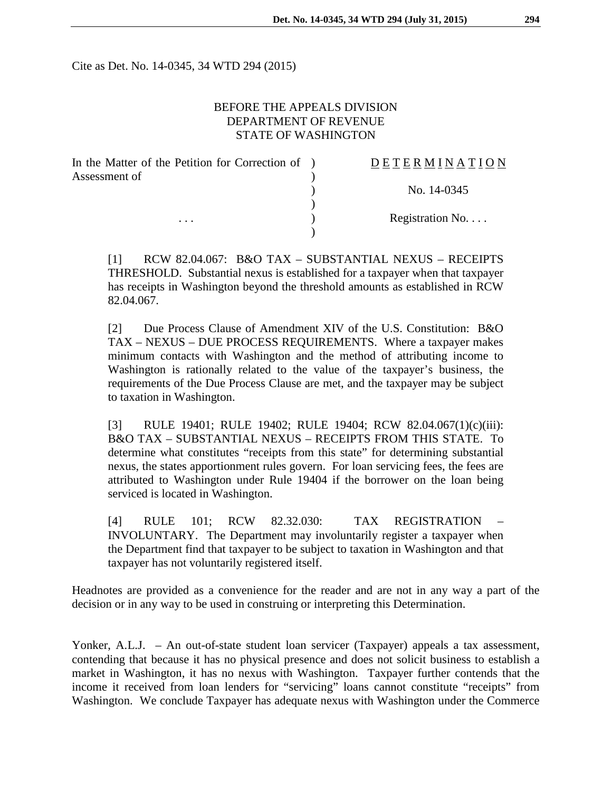Cite as Det. No. 14-0345, 34 WTD 294 (2015)

## BEFORE THE APPEALS DIVISION DEPARTMENT OF REVENUE STATE OF WASHINGTON

| In the Matter of the Petition for Correction of ) | DETERMINATION   |
|---------------------------------------------------|-----------------|
| Assessment of                                     |                 |
|                                                   | No. 14-0345     |
|                                                   |                 |
| $\cdots$                                          | Registration No |
|                                                   |                 |

[1] RCW 82.04.067: B&O TAX – SUBSTANTIAL NEXUS – RECEIPTS THRESHOLD. Substantial nexus is established for a taxpayer when that taxpayer has receipts in Washington beyond the threshold amounts as established in RCW 82.04.067.

[2] Due Process Clause of Amendment XIV of the U.S. Constitution: B&O TAX – NEXUS – DUE PROCESS REQUIREMENTS. Where a taxpayer makes minimum contacts with Washington and the method of attributing income to Washington is rationally related to the value of the taxpayer's business, the requirements of the Due Process Clause are met, and the taxpayer may be subject to taxation in Washington.

[3] RULE 19401; RULE 19402; RULE 19404; RCW 82.04.067(1)(c)(iii): B&O TAX – SUBSTANTIAL NEXUS – RECEIPTS FROM THIS STATE. To determine what constitutes "receipts from this state" for determining substantial nexus, the states apportionment rules govern. For loan servicing fees, the fees are attributed to Washington under Rule 19404 if the borrower on the loan being serviced is located in Washington.

[4] RULE 101; RCW 82.32.030: TAX REGISTRATION INVOLUNTARY. The Department may involuntarily register a taxpayer when the Department find that taxpayer to be subject to taxation in Washington and that taxpayer has not voluntarily registered itself.

Headnotes are provided as a convenience for the reader and are not in any way a part of the decision or in any way to be used in construing or interpreting this Determination.

Yonker, A.L.J. – An out-of-state student loan servicer (Taxpayer) appeals a tax assessment, contending that because it has no physical presence and does not solicit business to establish a market in Washington, it has no nexus with Washington. Taxpayer further contends that the income it received from loan lenders for "servicing" loans cannot constitute "receipts" from Washington. We conclude Taxpayer has adequate nexus with Washington under the Commerce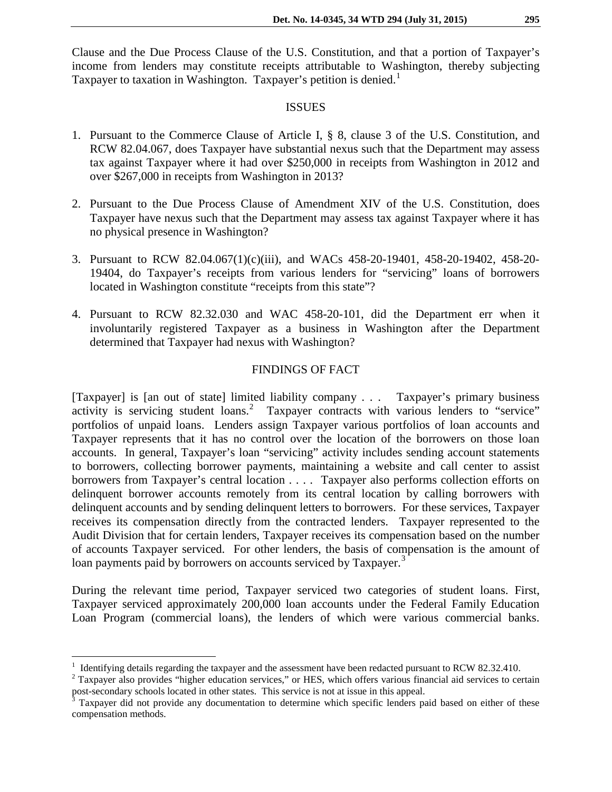Clause and the Due Process Clause of the U.S. Constitution, and that a portion of Taxpayer's income from lenders may constitute receipts attributable to Washington, thereby subjecting Taxpayer to taxation in Washington. Taxpayer's petition is denied.<sup>[1](#page-1-0)</sup>

## **ISSUES**

- 1. Pursuant to the Commerce Clause of Article I, § 8, clause 3 of the U.S. Constitution, and RCW 82.04.067, does Taxpayer have substantial nexus such that the Department may assess tax against Taxpayer where it had over \$250,000 in receipts from Washington in 2012 and over \$267,000 in receipts from Washington in 2013?
- 2. Pursuant to the Due Process Clause of Amendment XIV of the U.S. Constitution, does Taxpayer have nexus such that the Department may assess tax against Taxpayer where it has no physical presence in Washington?
- 3. Pursuant to RCW 82.04.067(1)(c)(iii), and WACs 458-20-19401, 458-20-19402, 458-20- 19404, do Taxpayer's receipts from various lenders for "servicing" loans of borrowers located in Washington constitute "receipts from this state"?
- 4. Pursuant to RCW 82.32.030 and WAC 458-20-101, did the Department err when it involuntarily registered Taxpayer as a business in Washington after the Department determined that Taxpayer had nexus with Washington?

## FINDINGS OF FACT

[Taxpayer] is [an out of state] limited liability company . . . Taxpayer's primary business activity is servicing student loans.<sup>[2](#page-1-1)</sup> Taxpayer contracts with various lenders to "service" portfolios of unpaid loans. Lenders assign Taxpayer various portfolios of loan accounts and Taxpayer represents that it has no control over the location of the borrowers on those loan accounts. In general, Taxpayer's loan "servicing" activity includes sending account statements to borrowers, collecting borrower payments, maintaining a website and call center to assist borrowers from Taxpayer's central location . . . . Taxpayer also performs collection efforts on delinquent borrower accounts remotely from its central location by calling borrowers with delinquent accounts and by sending delinquent letters to borrowers. For these services, Taxpayer receives its compensation directly from the contracted lenders. Taxpayer represented to the Audit Division that for certain lenders, Taxpayer receives its compensation based on the number of accounts Taxpayer serviced. For other lenders, the basis of compensation is the amount of loan payments paid by borrowers on accounts serviced by Taxpayer.<sup>[3](#page-1-2)</sup>

During the relevant time period, Taxpayer serviced two categories of student loans. First, Taxpayer serviced approximately 200,000 loan accounts under the Federal Family Education Loan Program (commercial loans), the lenders of which were various commercial banks.

<sup>&</sup>lt;sup>1</sup> Identifying details regarding the taxpayer and the assessment have been redacted pursuant to RCW 82.32.410.<br><sup>2</sup> Taxpayer also provides "higher education services," or HES, which offers various financial aid services t

<span id="page-1-1"></span><span id="page-1-0"></span>post-secondary schools located in other states. This service is not at issue in this appeal.<br><sup>3</sup> Taxpayer did not provide any documentation to determine which specific lenders paid based on either of these

<span id="page-1-2"></span>compensation methods.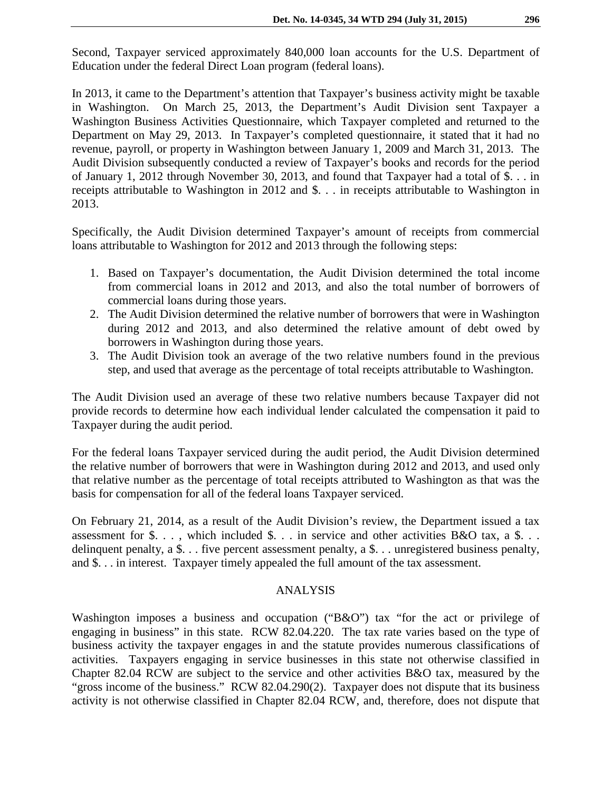Second, Taxpayer serviced approximately 840,000 loan accounts for the U.S. Department of Education under the federal Direct Loan program (federal loans).

In 2013, it came to the Department's attention that Taxpayer's business activity might be taxable in Washington. On March 25, 2013, the Department's Audit Division sent Taxpayer a Washington Business Activities Questionnaire, which Taxpayer completed and returned to the Department on May 29, 2013. In Taxpayer's completed questionnaire, it stated that it had no revenue, payroll, or property in Washington between January 1, 2009 and March 31, 2013. The Audit Division subsequently conducted a review of Taxpayer's books and records for the period of January 1, 2012 through November 30, 2013, and found that Taxpayer had a total of \$. . . in receipts attributable to Washington in 2012 and \$. . . in receipts attributable to Washington in 2013.

Specifically, the Audit Division determined Taxpayer's amount of receipts from commercial loans attributable to Washington for 2012 and 2013 through the following steps:

- 1. Based on Taxpayer's documentation, the Audit Division determined the total income from commercial loans in 2012 and 2013, and also the total number of borrowers of commercial loans during those years.
- 2. The Audit Division determined the relative number of borrowers that were in Washington during 2012 and 2013, and also determined the relative amount of debt owed by borrowers in Washington during those years.
- 3. The Audit Division took an average of the two relative numbers found in the previous step, and used that average as the percentage of total receipts attributable to Washington.

The Audit Division used an average of these two relative numbers because Taxpayer did not provide records to determine how each individual lender calculated the compensation it paid to Taxpayer during the audit period.

For the federal loans Taxpayer serviced during the audit period, the Audit Division determined the relative number of borrowers that were in Washington during 2012 and 2013, and used only that relative number as the percentage of total receipts attributed to Washington as that was the basis for compensation for all of the federal loans Taxpayer serviced.

On February 21, 2014, as a result of the Audit Division's review, the Department issued a tax assessment for  $\$\dots$ , which included  $\$\dots$  in service and other activities B&O tax, a  $\$\dots$ delinquent penalty, a \$. . . five percent assessment penalty, a \$. . . unregistered business penalty, and \$. . . in interest. Taxpayer timely appealed the full amount of the tax assessment.

#### ANALYSIS

Washington imposes a business and occupation ("B&O") tax "for the act or privilege of engaging in business" in this state. RCW 82.04.220. The tax rate varies based on the type of business activity the taxpayer engages in and the statute provides numerous classifications of activities. Taxpayers engaging in service businesses in this state not otherwise classified in Chapter 82.04 RCW are subject to the service and other activities B&O tax, measured by the "gross income of the business." RCW 82.04.290(2). Taxpayer does not dispute that its business activity is not otherwise classified in Chapter 82.04 RCW, and, therefore, does not dispute that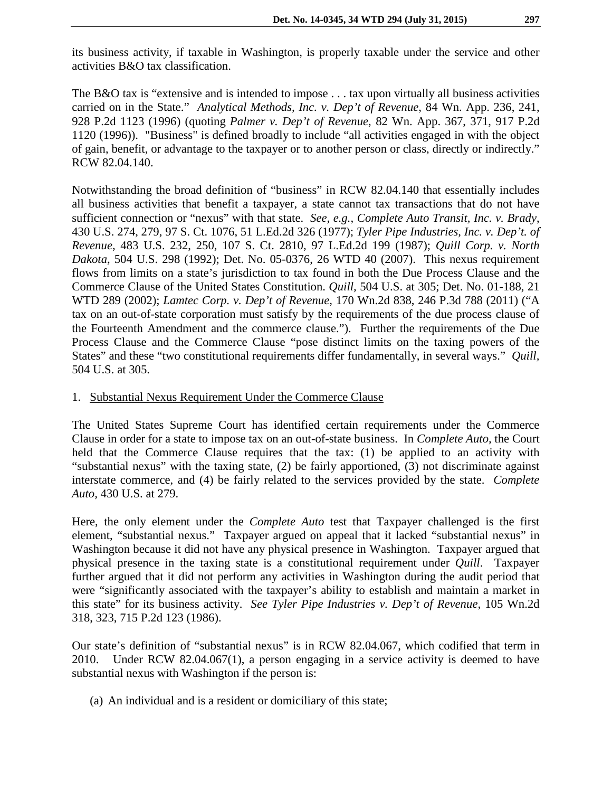its business activity, if taxable in Washington, is properly taxable under the service and other activities B&O tax classification.

The B&O tax is "extensive and is intended to impose . . . tax upon virtually all business activities carried on in the State." *Analytical Methods, Inc. v. Dep't of Revenue*, 84 Wn. App. 236, 241, 928 P.2d 1123 (1996) (quoting *Palmer v. Dep't of Revenue*, 82 Wn. App. 367, 371, 917 P.2d 1120 (1996)). "Business" is defined broadly to include "all activities engaged in with the object of gain, benefit, or advantage to the taxpayer or to another person or class, directly or indirectly." RCW 82.04.140.

Notwithstanding the broad definition of "business" in RCW 82.04.140 that essentially includes all business activities that benefit a taxpayer, a state cannot tax transactions that do not have sufficient connection or "nexus" with that state. *See, e.g.*, *Complete Auto Transit, Inc. v. Brady*, 430 U.S. 274, 279, 97 S. Ct. 1076, 51 L.Ed.2d 326 (1977); *Tyler Pipe Industries, Inc. v. Dep't. of Revenue*, 483 U.S. 232, 250, 107 S. Ct. 2810, 97 L.Ed.2d 199 (1987); *Quill Corp. v. North Dakota*, 504 U.S. 298 (1992); Det. No. 05-0376, 26 WTD 40 (2007). This nexus requirement flows from limits on a state's jurisdiction to tax found in both the Due Process Clause and the Commerce Clause of the United States Constitution. *Quill,* 504 U.S. at 305; Det. No. 01-188, 21 WTD 289 (2002); *Lamtec Corp. v. Dep't of Revenue,* 170 Wn.2d 838, 246 P.3d 788 (2011) ("A tax on an out-of-state corporation must satisfy by the requirements of the due process clause of the Fourteenth Amendment and the commerce clause."). Further the requirements of the Due Process Clause and the Commerce Clause "pose distinct limits on the taxing powers of the States" and these "two constitutional requirements differ fundamentally, in several ways." *Quill,*  504 U.S. at 305.

#### 1. Substantial Nexus Requirement Under the Commerce Clause

The United States Supreme Court has identified certain requirements under the Commerce Clause in order for a state to impose tax on an out-of-state business. In *Complete Auto,* the Court held that the Commerce Clause requires that the tax: (1) be applied to an activity with "substantial nexus" with the taxing state, (2) be fairly apportioned, (3) not discriminate against interstate commerce, and (4) be fairly related to the services provided by the state. *Complete Auto,* 430 U.S. at 279.

Here, the only element under the *Complete Auto* test that Taxpayer challenged is the first element, "substantial nexus." Taxpayer argued on appeal that it lacked "substantial nexus" in Washington because it did not have any physical presence in Washington. Taxpayer argued that physical presence in the taxing state is a constitutional requirement under *Quill*. Taxpayer further argued that it did not perform any activities in Washington during the audit period that were "significantly associated with the taxpayer's ability to establish and maintain a market in this state" for its business activity. *See Tyler Pipe Industries v. Dep't of Revenue,* 105 Wn.2d 318, 323, 715 P.2d 123 (1986).

Our state's definition of "substantial nexus" is in RCW 82.04.067, which codified that term in 2010. Under RCW 82.04.067(1), a person engaging in a service activity is deemed to have substantial nexus with Washington if the person is:

(a) An individual and is a resident or domiciliary of this state;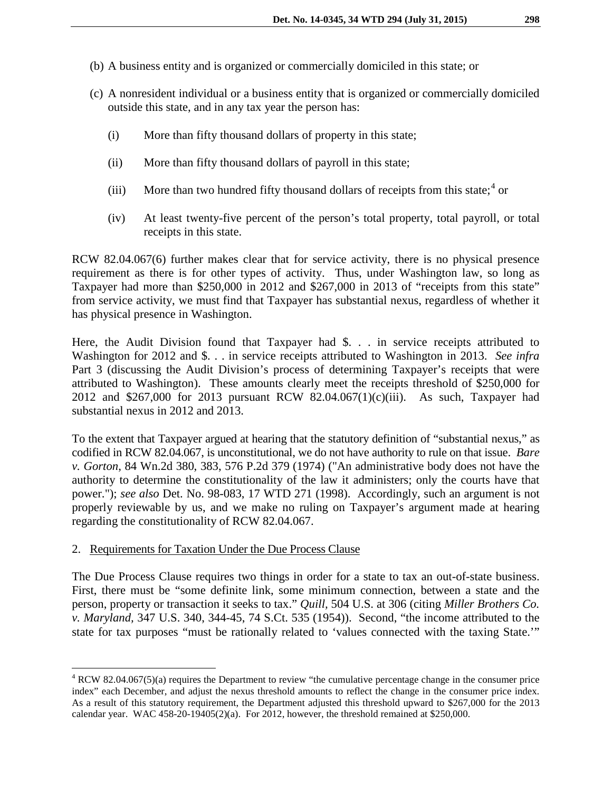- (b) A business entity and is organized or commercially domiciled in this state; or
- (c) A nonresident individual or a business entity that is organized or commercially domiciled outside this state, and in any tax year the person has:
	- (i) More than fifty thousand dollars of property in this state;
	- (ii) More than fifty thousand dollars of payroll in this state;
	- (iii) More than two hundred fifty thousand dollars of receipts from this state;  $4 \text{ or } 4$  $4 \text{ or } 4$
	- (iv) At least twenty-five percent of the person's total property, total payroll, or total receipts in this state.

RCW 82.04.067(6) further makes clear that for service activity, there is no physical presence requirement as there is for other types of activity. Thus, under Washington law, so long as Taxpayer had more than \$250,000 in 2012 and \$267,000 in 2013 of "receipts from this state" from service activity, we must find that Taxpayer has substantial nexus, regardless of whether it has physical presence in Washington.

Here, the Audit Division found that Taxpayer had \$. . . in service receipts attributed to Washington for 2012 and \$. . . in service receipts attributed to Washington in 2013. *See infra* Part 3 (discussing the Audit Division's process of determining Taxpayer's receipts that were attributed to Washington). These amounts clearly meet the receipts threshold of \$250,000 for 2012 and \$267,000 for 2013 pursuant RCW 82.04.067(1)(c)(iii). As such, Taxpayer had substantial nexus in 2012 and 2013.

To the extent that Taxpayer argued at hearing that the statutory definition of "substantial nexus," as codified in RCW 82.04.067, is unconstitutional, we do not have authority to rule on that issue. *Bare v. Gorton*, 84 Wn.2d 380, 383, 576 P.2d 379 (1974) ("An administrative body does not have the authority to determine the constitutionality of the law it administers; only the courts have that power."); *see also* Det. No. 98-083, 17 WTD 271 (1998). Accordingly, such an argument is not properly reviewable by us, and we make no ruling on Taxpayer's argument made at hearing regarding the constitutionality of RCW 82.04.067.

# 2. Requirements for Taxation Under the Due Process Clause

The Due Process Clause requires two things in order for a state to tax an out-of-state business. First, there must be "some definite link, some minimum connection, between a state and the person, property or transaction it seeks to tax." *Quill,* 504 U.S. at 306 (citing *Miller Brothers Co. v. Maryland,* 347 U.S. 340, 344-45, 74 S.Ct. 535 (1954)). Second, "the income attributed to the state for tax purposes "must be rationally related to 'values connected with the taxing State.'"

<span id="page-4-0"></span> <sup>4</sup> RCW 82.04.067(5)(a) requires the Department to review "the cumulative percentage change in the consumer price index" each December, and adjust the nexus threshold amounts to reflect the change in the consumer price index. As a result of this statutory requirement, the Department adjusted this threshold upward to \$267,000 for the 2013 calendar year. WAC  $458-20-19405(2)(a)$ . For 2012, however, the threshold remained at \$250,000.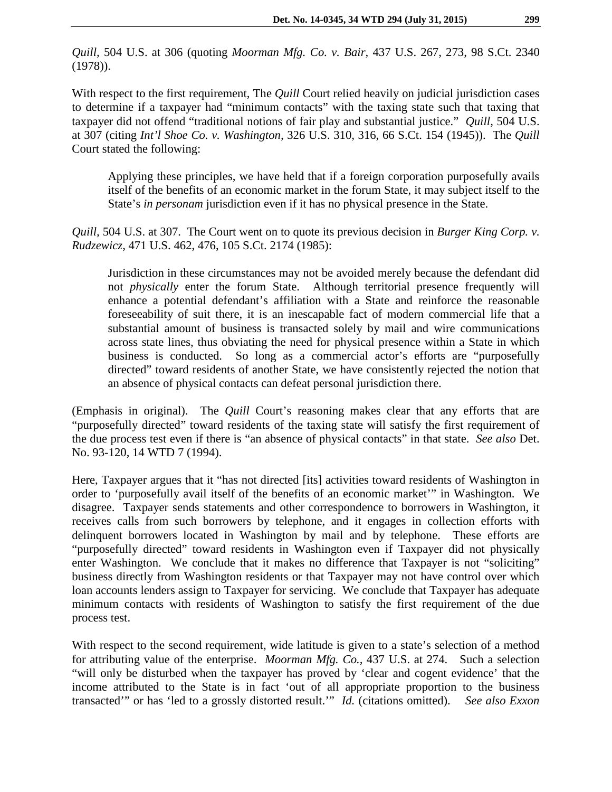*Quill,* 504 U.S. at 306 (quoting *Moorman Mfg. Co. v. Bair,* 437 U.S. 267, 273, 98 S.Ct. 2340 (1978)).

With respect to the first requirement, The *Quill* Court relied heavily on judicial jurisdiction cases to determine if a taxpayer had "minimum contacts" with the taxing state such that taxing that taxpayer did not offend "traditional notions of fair play and substantial justice." *Quill,* 504 U.S. at 307 (citing *Int'l Shoe Co. v. Washington,* 326 U.S. 310, 316, 66 S.Ct. 154 (1945)). The *Quill*  Court stated the following:

Applying these principles, we have held that if a foreign corporation purposefully avails itself of the benefits of an economic market in the forum State, it may subject itself to the State's *in personam* jurisdiction even if it has no physical presence in the State.

*Quill,* 504 U.S. at 307. The Court went on to quote its previous decision in *Burger King Corp. v. Rudzewicz*, 471 U.S. 462, 476, 105 S.Ct. 2174 (1985):

Jurisdiction in these circumstances may not be avoided merely because the defendant did not *physically* enter the forum State. Although territorial presence frequently will enhance a potential defendant's affiliation with a State and reinforce the reasonable foreseeability of suit there, it is an inescapable fact of modern commercial life that a substantial amount of business is transacted solely by mail and wire communications across state lines, thus obviating the need for physical presence within a State in which business is conducted. So long as a commercial actor's efforts are "purposefully directed" toward residents of another State, we have consistently rejected the notion that an absence of physical contacts can defeat personal jurisdiction there.

(Emphasis in original). The *Quill* Court's reasoning makes clear that any efforts that are "purposefully directed" toward residents of the taxing state will satisfy the first requirement of the due process test even if there is "an absence of physical contacts" in that state. *See also* Det. No. 93-120, 14 WTD 7 (1994).

Here, Taxpayer argues that it "has not directed [its] activities toward residents of Washington in order to 'purposefully avail itself of the benefits of an economic market'" in Washington. We disagree. Taxpayer sends statements and other correspondence to borrowers in Washington, it receives calls from such borrowers by telephone, and it engages in collection efforts with delinquent borrowers located in Washington by mail and by telephone. These efforts are "purposefully directed" toward residents in Washington even if Taxpayer did not physically enter Washington. We conclude that it makes no difference that Taxpayer is not "soliciting" business directly from Washington residents or that Taxpayer may not have control over which loan accounts lenders assign to Taxpayer for servicing. We conclude that Taxpayer has adequate minimum contacts with residents of Washington to satisfy the first requirement of the due process test.

With respect to the second requirement, wide latitude is given to a state's selection of a method for attributing value of the enterprise. *Moorman Mfg. Co.,* 437 U.S. at 274. Such a selection "will only be disturbed when the taxpayer has proved by 'clear and cogent evidence' that the income attributed to the State is in fact 'out of all appropriate proportion to the business transacted'" or has 'led to a grossly distorted result.'" *Id.* (citations omitted). *See also Exxon*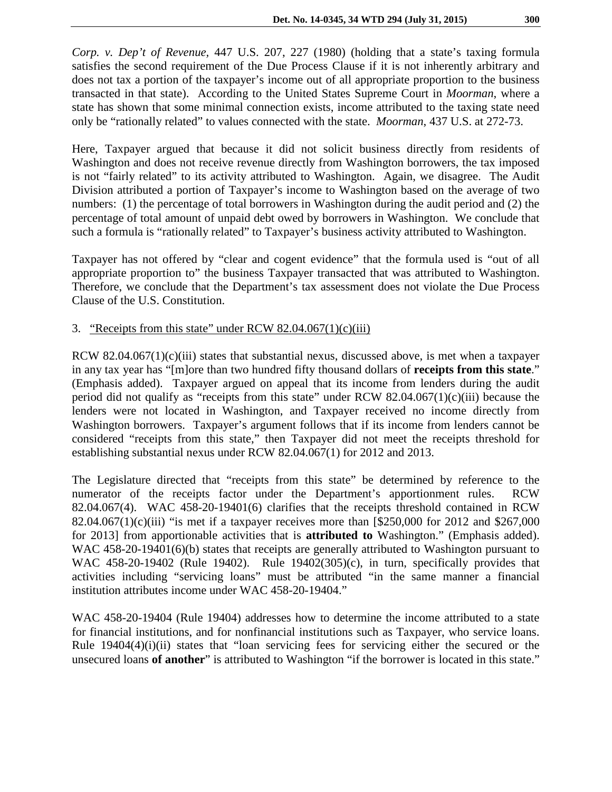*Corp. v. Dep't of Revenue,* 447 U.S. 207, 227 (1980) (holding that a state's taxing formula satisfies the second requirement of the Due Process Clause if it is not inherently arbitrary and does not tax a portion of the taxpayer's income out of all appropriate proportion to the business transacted in that state). According to the United States Supreme Court in *Moorman*, where a state has shown that some minimal connection exists, income attributed to the taxing state need only be "rationally related" to values connected with the state. *Moorman*, 437 U.S. at 272-73.

Here, Taxpayer argued that because it did not solicit business directly from residents of Washington and does not receive revenue directly from Washington borrowers, the tax imposed is not "fairly related" to its activity attributed to Washington. Again, we disagree. The Audit Division attributed a portion of Taxpayer's income to Washington based on the average of two numbers: (1) the percentage of total borrowers in Washington during the audit period and (2) the percentage of total amount of unpaid debt owed by borrowers in Washington. We conclude that such a formula is "rationally related" to Taxpayer's business activity attributed to Washington.

Taxpayer has not offered by "clear and cogent evidence" that the formula used is "out of all appropriate proportion to" the business Taxpayer transacted that was attributed to Washington. Therefore, we conclude that the Department's tax assessment does not violate the Due Process Clause of the U.S. Constitution.

#### 3. "Receipts from this state" under RCW  $82.04.067(1)(c)(iii)$

RCW 82.04.067(1)(c)(iii) states that substantial nexus, discussed above, is met when a taxpayer in any tax year has "[m]ore than two hundred fifty thousand dollars of **receipts from this state**." (Emphasis added). Taxpayer argued on appeal that its income from lenders during the audit period did not qualify as "receipts from this state" under RCW  $82.04.067(1)(c)(iii)$  because the lenders were not located in Washington, and Taxpayer received no income directly from Washington borrowers. Taxpayer's argument follows that if its income from lenders cannot be considered "receipts from this state," then Taxpayer did not meet the receipts threshold for establishing substantial nexus under RCW 82.04.067(1) for 2012 and 2013.

The Legislature directed that "receipts from this state" be determined by reference to the numerator of the receipts factor under the Department's apportionment rules. RCW 82.04.067(4). WAC 458-20-19401(6) clarifies that the receipts threshold contained in RCW 82.04.067(1)(c)(iii) "is met if a taxpayer receives more than  $\frac{\$250,000}{$}$  for 2012 and \$267,000 for 2013] from apportionable activities that is **attributed to** Washington." (Emphasis added). WAC 458-20-19401(6)(b) states that receipts are generally attributed to Washington pursuant to WAC 458-20-19402 (Rule 19402). Rule 19402(305)(c), in turn, specifically provides that activities including "servicing loans" must be attributed "in the same manner a financial institution attributes income under WAC 458-20-19404."

WAC 458-20-19404 (Rule 19404) addresses how to determine the income attributed to a state for financial institutions, and for nonfinancial institutions such as Taxpayer, who service loans. Rule 19404(4)(i)(ii) states that "loan servicing fees for servicing either the secured or the unsecured loans **of another**" is attributed to Washington "if the borrower is located in this state."